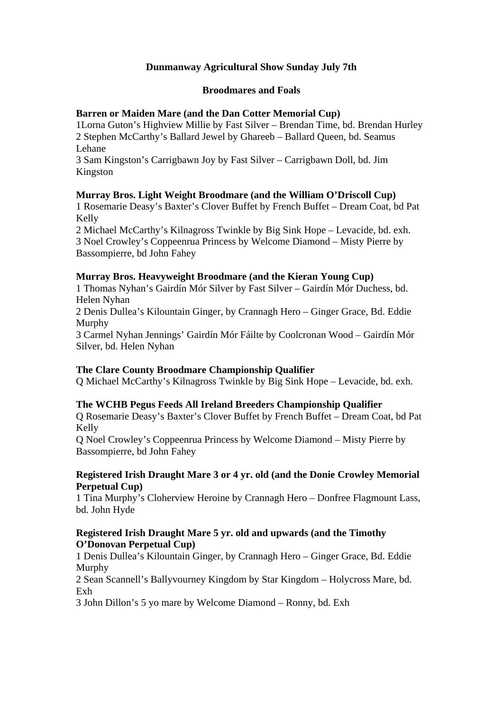# **Dunmanway Agricultural Show Sunday July 7th**

#### **Broodmares and Foals**

## **Barren or Maiden Mare (and the Dan Cotter Memorial Cup)**

1Lorna Guton's Highview Millie by Fast Silver – Brendan Time, bd. Brendan Hurley 2 Stephen McCarthy's Ballard Jewel by Ghareeb – Ballard Queen, bd. Seamus Lehane

3 Sam Kingston's Carrigbawn Joy by Fast Silver – Carrigbawn Doll, bd. Jim Kingston

# **Murray Bros. Light Weight Broodmare (and the William O'Driscoll Cup)**

1 Rosemarie Deasy's Baxter's Clover Buffet by French Buffet – Dream Coat, bd Pat Kelly

2 Michael McCarthy's Kilnagross Twinkle by Big Sink Hope – Levacide, bd. exh. 3 Noel Crowley's Coppeenrua Princess by Welcome Diamond – Misty Pierre by Bassompierre, bd John Fahey

## **Murray Bros. Heavyweight Broodmare (and the Kieran Young Cup)**

1 Thomas Nyhan's Gairdín Mór Silver by Fast Silver – Gairdín Mór Duchess, bd. Helen Nyhan

2 Denis Dullea's Kilountain Ginger, by Crannagh Hero – Ginger Grace, Bd. Eddie Murphy

3 Carmel Nyhan Jennings' Gairdín Mór Fáilte by Coolcronan Wood – Gairdín Mór Silver, bd. Helen Nyhan

# **The Clare County Broodmare Championship Qualifier**

Q Michael McCarthy's Kilnagross Twinkle by Big Sink Hope – Levacide, bd. exh.

# **The WCHB Pegus Feeds All Ireland Breeders Championship Qualifier**

Q Rosemarie Deasy's Baxter's Clover Buffet by French Buffet – Dream Coat, bd Pat Kelly

Q Noel Crowley's Coppeenrua Princess by Welcome Diamond – Misty Pierre by Bassompierre, bd John Fahey

## **Registered Irish Draught Mare 3 or 4 yr. old (and the Donie Crowley Memorial Perpetual Cup)**

1 Tina Murphy's Cloherview Heroine by Crannagh Hero – Donfree Flagmount Lass, bd. John Hyde

## **Registered Irish Draught Mare 5 yr. old and upwards (and the Timothy O'Donovan Perpetual Cup)**

1 Denis Dullea's Kilountain Ginger, by Crannagh Hero – Ginger Grace, Bd. Eddie Murphy

2 Sean Scannell's Ballyvourney Kingdom by Star Kingdom – Holycross Mare, bd. Exh

3 John Dillon's 5 yo mare by Welcome Diamond – Ronny, bd. Exh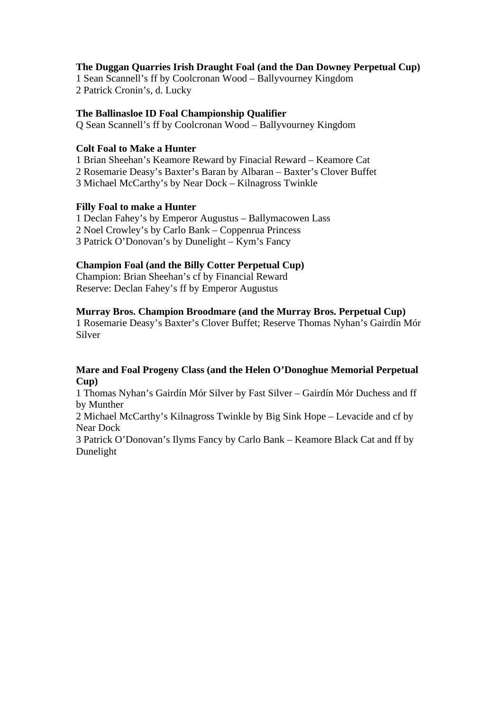## **The Duggan Quarries Irish Draught Foal (and the Dan Downey Perpetual Cup)**

1 Sean Scannell's ff by Coolcronan Wood – Ballyvourney Kingdom 2 Patrick Cronin's, d. Lucky

#### **The Ballinasloe ID Foal Championship Qualifier**

Q Sean Scannell's ff by Coolcronan Wood – Ballyvourney Kingdom

#### **Colt Foal to Make a Hunter**

1 Brian Sheehan's Keamore Reward by Finacial Reward – Keamore Cat 2 Rosemarie Deasy's Baxter's Baran by Albaran – Baxter's Clover Buffet 3 Michael McCarthy's by Near Dock – Kilnagross Twinkle

## **Filly Foal to make a Hunter**

1 Declan Fahey's by Emperor Augustus – Ballymacowen Lass 2 Noel Crowley's by Carlo Bank – Coppenrua Princess 3 Patrick O'Donovan's by Dunelight – Kym's Fancy

## **Champion Foal (and the Billy Cotter Perpetual Cup)**

Champion: Brian Sheehan's cf by Financial Reward Reserve: Declan Fahey's ff by Emperor Augustus

## **Murray Bros. Champion Broodmare (and the Murray Bros. Perpetual Cup)**

1 Rosemarie Deasy's Baxter's Clover Buffet; Reserve Thomas Nyhan's Gairdín Mór Silver

## **Mare and Foal Progeny Class (and the Helen O'Donoghue Memorial Perpetual Cup)**

1 Thomas Nyhan's Gairdín Mór Silver by Fast Silver – Gairdín Mór Duchess and ff by Munther

2 Michael McCarthy's Kilnagross Twinkle by Big Sink Hope – Levacide and cf by Near Dock

3 Patrick O'Donovan's Ilyms Fancy by Carlo Bank – Keamore Black Cat and ff by Dunelight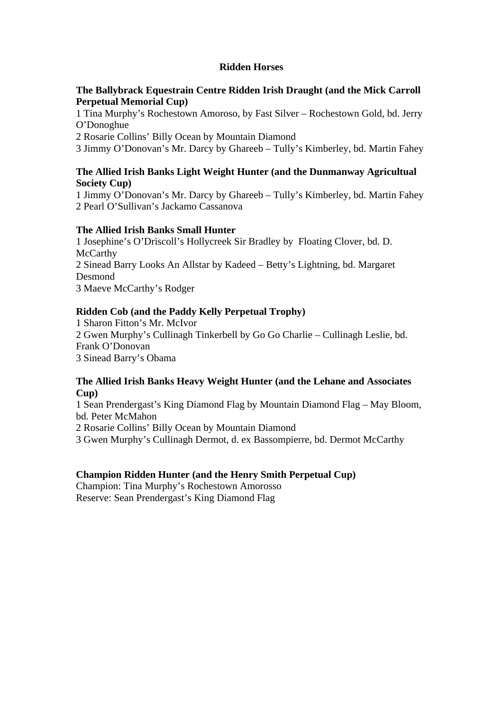## **Ridden Horses**

#### **The Ballybrack Equestrain Centre Ridden Irish Draught (and the Mick Carroll Perpetual Memorial Cup)**

1 Tina Murphy's Rochestown Amoroso, by Fast Silver – Rochestown Gold, bd. Jerry O'Donoghue

2 Rosarie Collins' Billy Ocean by Mountain Diamond

3 Jimmy O'Donovan's Mr. Darcy by Ghareeb – Tully's Kimberley, bd. Martin Fahey

## **The Allied Irish Banks Light Weight Hunter (and the Dunmanway Agricultual Society Cup)**

1 Jimmy O'Donovan's Mr. Darcy by Ghareeb – Tully's Kimberley, bd. Martin Fahey 2 Pearl O'Sullivan's Jackamo Cassanova

## **The Allied Irish Banks Small Hunter**

1 Josephine's O'Driscoll's Hollycreek Sir Bradley by Floating Clover, bd. D. **McCarthy** 2 Sinead Barry Looks An Allstar by Kadeed – Betty's Lightning, bd. Margaret Desmond 3 Maeve McCarthy's Rodger

# **Ridden Cob (and the Paddy Kelly Perpetual Trophy)**

1 Sharon Fitton's Mr. McIvor 2 Gwen Murphy's Cullinagh Tinkerbell by Go Go Charlie – Cullinagh Leslie, bd. Frank O'Donovan 3 Sinead Barry's Obama

## **The Allied Irish Banks Heavy Weight Hunter (and the Lehane and Associates Cup)**

1 Sean Prendergast's King Diamond Flag by Mountain Diamond Flag – May Bloom, bd. Peter McMahon

2 Rosarie Collins' Billy Ocean by Mountain Diamond

3 Gwen Murphy's Cullinagh Dermot, d. ex Bassompierre, bd. Dermot McCarthy

# **Champion Ridden Hunter (and the Henry Smith Perpetual Cup)**

Champion: Tina Murphy's Rochestown Amorosso Reserve: Sean Prendergast's King Diamond Flag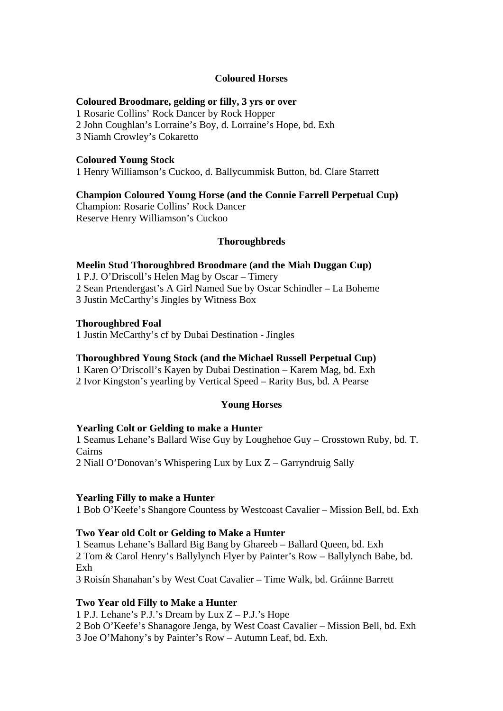#### **Coloured Horses**

#### **Coloured Broodmare, gelding or filly, 3 yrs or over**

1 Rosarie Collins' Rock Dancer by Rock Hopper

2 John Coughlan's Lorraine's Boy, d. Lorraine's Hope, bd. Exh

3 Niamh Crowley's Cokaretto

#### **Coloured Young Stock**

1 Henry Williamson's Cuckoo, d. Ballycummisk Button, bd. Clare Starrett

#### **Champion Coloured Young Horse (and the Connie Farrell Perpetual Cup)**

Champion: Rosarie Collins' Rock Dancer Reserve Henry Williamson's Cuckoo

## **Thoroughbreds**

#### **Meelin Stud Thoroughbred Broodmare (and the Miah Duggan Cup)**

1 P.J. O'Driscoll's Helen Mag by Oscar – Timery 2 Sean Prtendergast's A Girl Named Sue by Oscar Schindler – La Boheme 3 Justin McCarthy's Jingles by Witness Box

#### **Thoroughbred Foal**

1 Justin McCarthy's cf by Dubai Destination - Jingles

#### **Thoroughbred Young Stock (and the Michael Russell Perpetual Cup)**

1 Karen O'Driscoll's Kayen by Dubai Destination – Karem Mag, bd. Exh 2 Ivor Kingston's yearling by Vertical Speed – Rarity Bus, bd. A Pearse

#### **Young Horses**

#### **Yearling Colt or Gelding to make a Hunter**

1 Seamus Lehane's Ballard Wise Guy by Loughehoe Guy – Crosstown Ruby, bd. T. Cairns 2 Niall O'Donovan's Whispering Lux by Lux Z – Garryndruig Sally

#### **Yearling Filly to make a Hunter**

1 Bob O'Keefe's Shangore Countess by Westcoast Cavalier – Mission Bell, bd. Exh

#### **Two Year old Colt or Gelding to Make a Hunter**

1 Seamus Lehane's Ballard Big Bang by Ghareeb – Ballard Queen, bd. Exh 2 Tom & Carol Henry's Ballylynch Flyer by Painter's Row – Ballylynch Babe, bd. Exh

3 Roisín Shanahan's by West Coat Cavalier – Time Walk, bd. Gráinne Barrett

#### **Two Year old Filly to Make a Hunter**

1 P.J. Lehane's P.J.'s Dream by Lux Z – P.J.'s Hope

2 Bob O'Keefe's Shanagore Jenga, by West Coast Cavalier – Mission Bell, bd. Exh

3 Joe O'Mahony's by Painter's Row – Autumn Leaf, bd. Exh.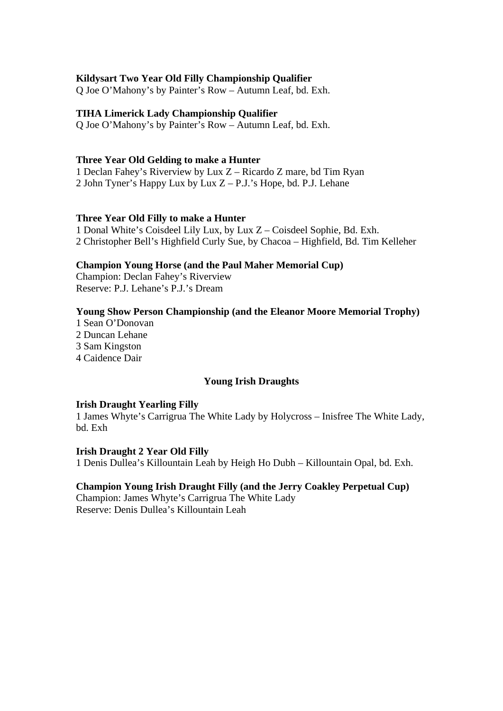#### **Kildysart Two Year Old Filly Championship Qualifier**

Q Joe O'Mahony's by Painter's Row – Autumn Leaf, bd. Exh.

#### **TIHA Limerick Lady Championship Qualifier**

Q Joe O'Mahony's by Painter's Row – Autumn Leaf, bd. Exh.

#### **Three Year Old Gelding to make a Hunter**

1 Declan Fahey's Riverview by Lux Z – Ricardo Z mare, bd Tim Ryan 2 John Tyner's Happy Lux by Lux Z – P.J.'s Hope, bd. P.J. Lehane

#### **Three Year Old Filly to make a Hunter**

1 Donal White's Coisdeel Lily Lux, by Lux Z – Coisdeel Sophie, Bd. Exh. 2 Christopher Bell's Highfield Curly Sue, by Chacoa – Highfield, Bd. Tim Kelleher

#### **Champion Young Horse (and the Paul Maher Memorial Cup)**

Champion: Declan Fahey's Riverview Reserve: P.J. Lehane's P.J.'s Dream

#### **Young Show Person Championship (and the Eleanor Moore Memorial Trophy)**

1 Sean O'Donovan 2 Duncan Lehane 3 Sam Kingston

4 Caidence Dair

#### **Young Irish Draughts**

#### **Irish Draught Yearling Filly**

1 James Whyte's Carrigrua The White Lady by Holycross – Inisfree The White Lady, bd. Exh

#### **Irish Draught 2 Year Old Filly**

1 Denis Dullea's Killountain Leah by Heigh Ho Dubh – Killountain Opal, bd. Exh.

#### **Champion Young Irish Draught Filly (and the Jerry Coakley Perpetual Cup)**

Champion: James Whyte's Carrigrua The White Lady Reserve: Denis Dullea's Killountain Leah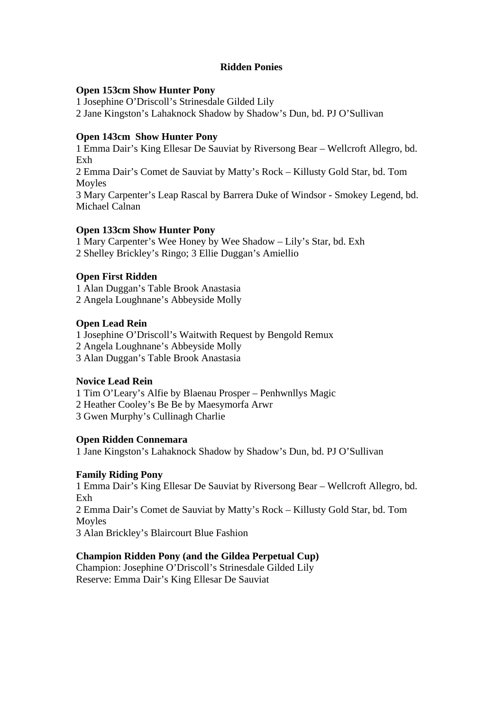## **Ridden Ponies**

#### **Open 153cm Show Hunter Pony**

1 Josephine O'Driscoll's Strinesdale Gilded Lily

2 Jane Kingston's Lahaknock Shadow by Shadow's Dun, bd. PJ O'Sullivan

# **Open 143cm Show Hunter Pony**

1 Emma Dair's King Ellesar De Sauviat by Riversong Bear – Wellcroft Allegro, bd. Exh 2 Emma Dair's Comet de Sauviat by Matty's Rock – Killusty Gold Star, bd. Tom Moyles 3 Mary Carpenter's Leap Rascal by Barrera Duke of Windsor - Smokey Legend, bd. Michael Calnan

# **Open 133cm Show Hunter Pony**

1 Mary Carpenter's Wee Honey by Wee Shadow – Lily's Star, bd. Exh 2 Shelley Brickley's Ringo; 3 Ellie Duggan's Amiellio

# **Open First Ridden**

1 Alan Duggan's Table Brook Anastasia 2 Angela Loughnane's Abbeyside Molly

# **Open Lead Rein**

1 Josephine O'Driscoll's Waitwith Request by Bengold Remux 2 Angela Loughnane's Abbeyside Molly

3 Alan Duggan's Table Brook Anastasia

# **Novice Lead Rein**

1 Tim O'Leary's Alfie by Blaenau Prosper – Penhwnllys Magic

2 Heather Cooley's Be Be by Maesymorfa Arwr

3 Gwen Murphy's Cullinagh Charlie

# **Open Ridden Connemara**

1 Jane Kingston's Lahaknock Shadow by Shadow's Dun, bd. PJ O'Sullivan

# **Family Riding Pony**

1 Emma Dair's King Ellesar De Sauviat by Riversong Bear – Wellcroft Allegro, bd. Exh

2 Emma Dair's Comet de Sauviat by Matty's Rock – Killusty Gold Star, bd. Tom Moyles

3 Alan Brickley's Blaircourt Blue Fashion

# **Champion Ridden Pony (and the Gildea Perpetual Cup)**

Champion: Josephine O'Driscoll's Strinesdale Gilded Lily Reserve: Emma Dair's King Ellesar De Sauviat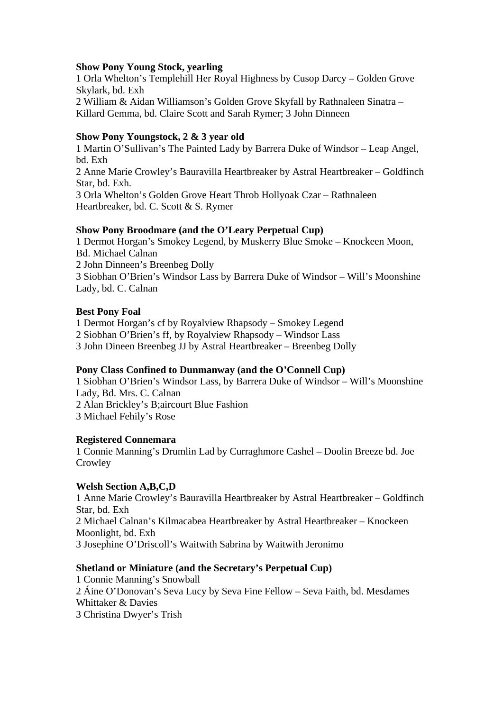#### **Show Pony Young Stock, yearling**

1 Orla Whelton's Templehill Her Royal Highness by Cusop Darcy – Golden Grove Skylark, bd. Exh 2 William & Aidan Williamson's Golden Grove Skyfall by Rathnaleen Sinatra – Killard Gemma, bd. Claire Scott and Sarah Rymer; 3 John Dinneen

#### **Show Pony Youngstock, 2 & 3 year old**

1 Martin O'Sullivan's The Painted Lady by Barrera Duke of Windsor – Leap Angel, bd. Exh 2 Anne Marie Crowley's Bauravilla Heartbreaker by Astral Heartbreaker – Goldfinch Star, bd. Exh. 3 Orla Whelton's Golden Grove Heart Throb Hollyoak Czar – Rathnaleen Heartbreaker, bd. C. Scott & S. Rymer

#### **Show Pony Broodmare (and the O'Leary Perpetual Cup)**

1 Dermot Horgan's Smokey Legend, by Muskerry Blue Smoke – Knockeen Moon, Bd. Michael Calnan

2 John Dinneen's Breenbeg Dolly

3 Siobhan O'Brien's Windsor Lass by Barrera Duke of Windsor – Will's Moonshine Lady, bd. C. Calnan

#### **Best Pony Foal**

1 Dermot Horgan's cf by Royalview Rhapsody – Smokey Legend

2 Siobhan O'Brien's ff, by Royalview Rhapsody – Windsor Lass

3 John Dineen Breenbeg JJ by Astral Heartbreaker – Breenbeg Dolly

#### **Pony Class Confined to Dunmanway (and the O'Connell Cup)**

1 Siobhan O'Brien's Windsor Lass, by Barrera Duke of Windsor – Will's Moonshine Lady, Bd. Mrs. C. Calnan 2 Alan Brickley's B;aircourt Blue Fashion 3 Michael Fehily's Rose

#### **Registered Connemara**

1 Connie Manning's Drumlin Lad by Curraghmore Cashel – Doolin Breeze bd. Joe **Crowley** 

#### **Welsh Section A,B,C,D**

1 Anne Marie Crowley's Bauravilla Heartbreaker by Astral Heartbreaker – Goldfinch Star, bd. Exh 2 Michael Calnan's Kilmacabea Heartbreaker by Astral Heartbreaker – Knockeen Moonlight, bd. Exh 3 Josephine O'Driscoll's Waitwith Sabrina by Waitwith Jeronimo

## **Shetland or Miniature (and the Secretary's Perpetual Cup)**

1 Connie Manning's Snowball 2 Áine O'Donovan's Seva Lucy by Seva Fine Fellow – Seva Faith, bd. Mesdames Whittaker & Davies 3 Christina Dwyer's Trish